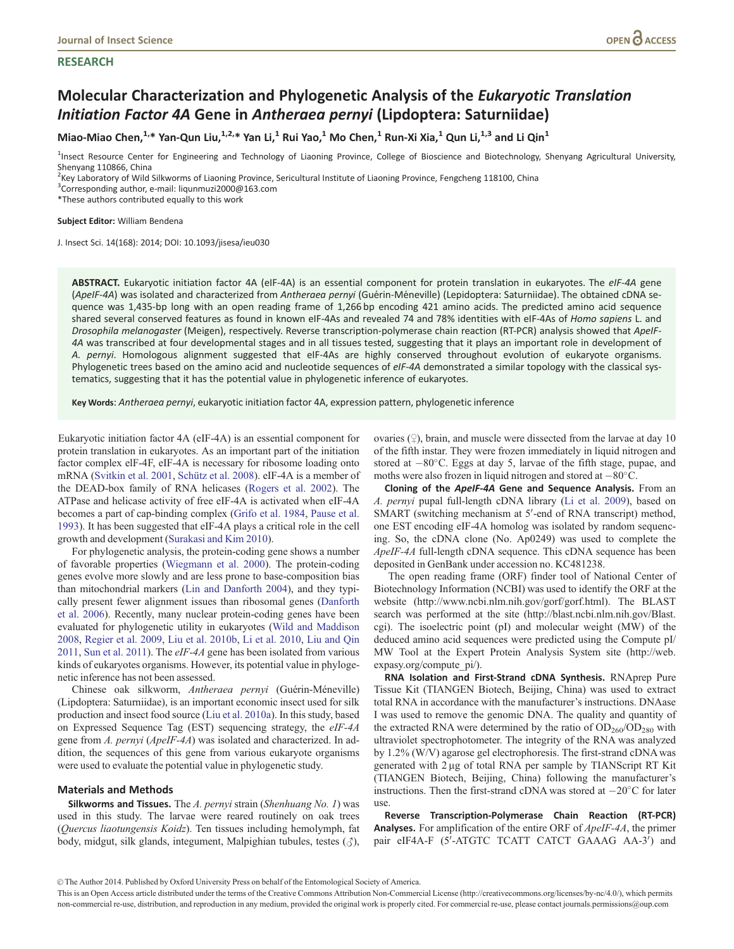# **RESEARCH**

# Molecular Characterization and Phylogenetic Analysis of the Eukaryotic Translation Initiation Factor 4A Gene in Antheraea pernyi (Lipdoptera: Saturniidae)

Miao-Miao Chen,<sup>1,\*</sup> Yan-Qun Liu,<sup>1,2,\*</sup> Yan Li,<sup>1</sup> Rui Yao,<sup>1</sup> Mo Chen,<sup>1</sup> Run-Xi Xia,<sup>1</sup> Qun Li,<sup>1,3</sup> and Li Qin<sup>1</sup>

<sup>1</sup>Insect Resource Center for Engineering and Technology of Liaoning Province, College of Bioscience and Biotechnology, Shenyang Agricultural University, Shenyang 110866, China

<sup>2</sup> Key Laboratory of Wild Silkworms of Liaoning Province, Sericultural Institute of Liaoning Province, Fengcheng 118100, China

<sup>3</sup>Corresponding author, e-mail: liqunmuzi2000@163.com

\*These authors contributed equally to this work

#### Subject Editor: William Bendena

J. Insect Sci. 14(168): 2014; DOI: 10.1093/jisesa/ieu030

ABSTRACT. Eukaryotic initiation factor 4A (eIF-4A) is an essential component for protein translation in eukaryotes. The eIF-4A gene (ApeIF-4A) was isolated and characterized from Antheraea pernyi (Guérin-Méneville) (Lepidoptera: Saturniidae). The obtained cDNA sequence was 1,435-bp long with an open reading frame of 1,266 bp encoding 421 amino acids. The predicted amino acid sequence shared several conserved features as found in known eIF-4As and revealed 74 and 78% identities with eIF-4As of Homo sapiens L. and Drosophila melanogaster (Meigen), respectively. Reverse transcription-polymerase chain reaction (RT-PCR) analysis showed that ApeIF-4A was transcribed at four developmental stages and in all tissues tested, suggesting that it plays an important role in development of A. pernyi. Homologous alignment suggested that eIF-4As are highly conserved throughout evolution of eukaryote organisms. Phylogenetic trees based on the amino acid and nucleotide sequences of eIF-4A demonstrated a similar topology with the classical systematics, suggesting that it has the potential value in phylogenetic inference of eukaryotes.

Key Words: Antheraea pernyi, eukaryotic initiation factor 4A, expression pattern, phylogenetic inference

Eukaryotic initiation factor 4A (eIF-4A) is an essential component for protein translation in eukaryotes. As an important part of the initiation factor complex elF-4F, eIF-4A is necessary for ribosome loading onto mRNA ([Svitkin et al. 2001](#page-4-0), Schütz et al. 2008). eIF-4A is a member of the DEAD-box family of RNA helicases [\(Rogers et al. 2002](#page-4-0)). The ATPase and helicase activity of free eIF-4A is activated when eIF-4A becomes a part of cap-binding complex [\(Grifo et al. 1984,](#page-4-0) [Pause et al.](#page-4-0) [1993\)](#page-4-0). It has been suggested that eIF-4A plays a critical role in the cell growth and development ([Surakasi and Kim 2010](#page-4-0)).

For phylogenetic analysis, the protein-coding gene shows a number of favorable properties [\(Wiegmann et al. 2000](#page-4-0)). The protein-coding genes evolve more slowly and are less prone to base-composition bias than mitochondrial markers ([Lin and Danforth 2004\)](#page-4-0), and they typically present fewer alignment issues than ribosomal genes ([Danforth](#page-4-0) [et al. 2006](#page-4-0)). Recently, many nuclear protein-coding genes have been evaluated for phylogenetic utility in eukaryotes [\(Wild and Maddison](#page-4-0) [2008,](#page-4-0) [Regier et al. 2009](#page-4-0), [Liu et al. 2010b,](#page-4-0) [Li et al. 2010](#page-4-0), [Liu and Qin](#page-4-0) [2011,](#page-4-0) [Sun et al. 2011\)](#page-4-0). The eIF-4A gene has been isolated from various kinds of eukaryotes organisms. However, its potential value in phylogenetic inference has not been assessed.

Chinese oak silkworm, Antheraea pernyi (Guérin-Méneville) (Lipdoptera: Saturniidae), is an important economic insect used for silk production and insect food source ([Liu et al. 2010a](#page-4-0)). In this study, based on Expressed Sequence Tag (EST) sequencing strategy, the eIF-4A gene from A. pernyi (ApeIF-4A) was isolated and characterized. In addition, the sequences of this gene from various eukaryote organisms were used to evaluate the potential value in phylogenetic study.

### Materials and Methods

**Silkworms and Tissues.** The  $A$ . pernyi strain (Shenhuang No. 1) was used in this study. The larvae were reared routinely on oak trees (Quercus liaotungensis Koidz). Ten tissues including hemolymph, fat body, midgut, silk glands, integument, Malpighian tubules, testes  $(\text{A})$ ,

ovaries  $(\circ)$ , brain, and muscle were dissected from the larvae at day 10 of the fifth instar. They were frozen immediately in liquid nitrogen and stored at  $-80^{\circ}$ C. Eggs at day 5, larvae of the fifth stage, pupae, and moths were also frozen in liquid nitrogen and stored at  $-80^{\circ}$ C.

Cloning of the ApeIF-4A Gene and Sequence Analysis. From an A. pernyi pupal full-length cDNA library ([Li et al. 2009](#page-4-0)), based on SMART (switching mechanism at 5'-end of RNA transcript) method, one EST encoding eIF-4A homolog was isolated by random sequencing. So, the cDNA clone (No. Ap0249) was used to complete the ApeIF-4A full-length cDNA sequence. This cDNA sequence has been deposited in GenBank under accession no. KC481238.

The open reading frame (ORF) finder tool of National Center of Biotechnology Information (NCBI) was used to identify the ORF at the website [\(http://www.ncbi.nlm.nih.gov/gorf/gorf.html](http://www.ncbi.nlm.nih.gov/gorf/gorf.html)). The BLAST search was performed at the site ([http://blast.ncbi.nlm.nih.gov/Blast.](http://blast.ncbi.nlm.nih.gov/Blast.cgi) [cgi\)](http://blast.ncbi.nlm.nih.gov/Blast.cgi). The isoelectric point (pI) and molecular weight (MW) of the deduced amino acid sequences were predicted using the Compute pI/ MW Tool at the Expert Protein Analysis System site ([http://web.](http://web.expasy.org/compute_pi/) [expasy.org/compute\\_pi/](http://web.expasy.org/compute_pi/)).

RNA Isolation and First-Strand cDNA Synthesis. RNAprep Pure Tissue Kit (TIANGEN Biotech, Beijing, China) was used to extract total RNA in accordance with the manufacturer's instructions. DNAase I was used to remove the genomic DNA. The quality and quantity of the extracted RNA were determined by the ratio of  $OD<sub>260</sub>/OD<sub>280</sub>$  with ultraviolet spectrophotometer. The integrity of the RNA was analyzed by 1.2% (W/V) agarose gel electrophoresis. The first-strand cDNA was generated with 2 µg of total RNA per sample by TIANScript RT Kit (TIANGEN Biotech, Beijing, China) following the manufacturer's instructions. Then the first-strand cDNA was stored at  $-20^{\circ}$ C for later use.

Reverse Transcription-Polymerase Chain Reaction (RT-PCR) Analyses. For amplification of the entire ORF of *ApeIF-4A*, the primer pair eIF4A-F (5'-ATGTC TCATT CATCT GAAAG AA-3') and

V<sup>C</sup> The Author 2014. Published by Oxford University Press on behalf of the Entomological Society of America.

This is an Open Access article distributed under the terms of the Creative Commons Attribution Non-Commercial License (http://creativecommons.org/licenses/by-nc/4.0/), which permits non-commercial re-use, distribution, and reproduction in any medium, provided the original work is properly cited. For commercial re-use, please contact journals.permissions@oup.com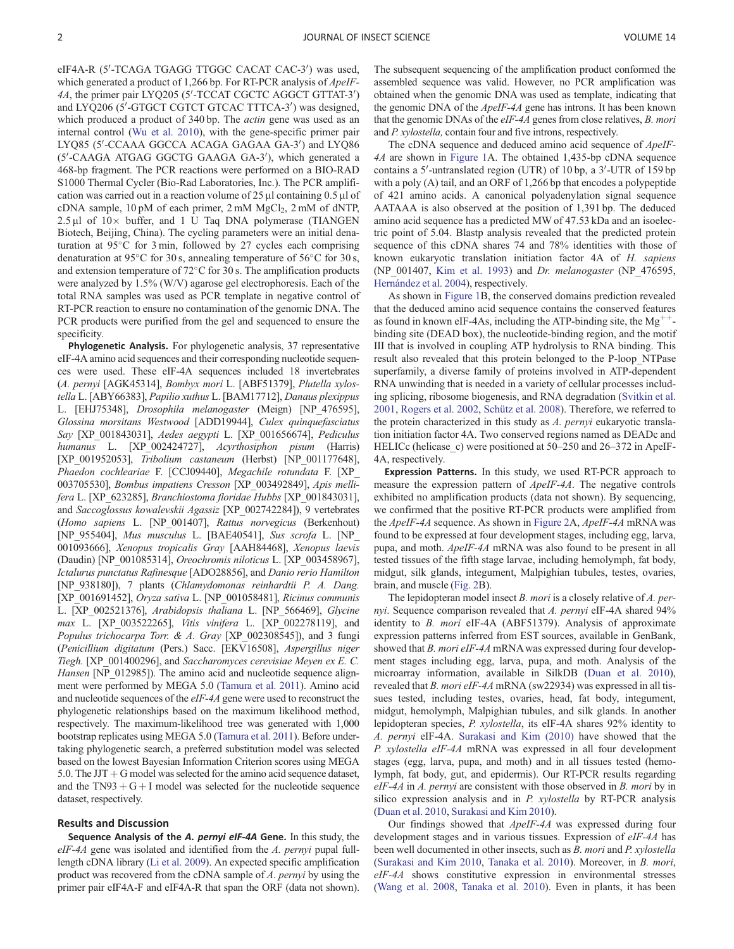eIF4A-R (5'-TCAGA TGAGG TTGGC CACAT CAC-3') was used, which generated a product of 1,266 bp. For RT-PCR analysis of *ApeIF*-4A, the primer pair LYQ205 (5'-TCCAT CGCTC AGGCT GTTAT-3') and LYQ206 (5'-GTGCT CGTCT GTCAC TTTCA-3') was designed, which produced a product of 340 bp. The *actin* gene was used as an internal control [\(Wu et al. 2010](#page-4-0)), with the gene-specific primer pair LYQ85 (5'-CCAAA GGCCA ACAGA GAGAA GA-3') and LYQ86 (5'-CAAGA ATGAG GGCTG GAAGA GA-3'), which generated a 468-bp fragment. The PCR reactions were performed on a BIO-RAD S1000 Thermal Cycler (Bio-Rad Laboratories, Inc.). The PCR amplification was carried out in a reaction volume of  $25 \mu$ l containing  $0.5 \mu$ l of cDNA sample,  $10 \text{ pM}$  of each primer,  $2 \text{ mM } MgCl<sub>2</sub>$ ,  $2 \text{ mM }$  of dNTP,  $2.5 \mu$ l of  $10 \times$  buffer, and 1 U Taq DNA polymerase (TIANGEN Biotech, Beijing, China). The cycling parameters were an initial denaturation at  $95^{\circ}$ C for 3 min, followed by 27 cycles each comprising denaturation at 95 $\degree$ C for 30 s, annealing temperature of 56 $\degree$ C for 30 s, and extension temperature of  $72^{\circ}$ C for 30 s. The amplification products were analyzed by 1.5% (W/V) agarose gel electrophoresis. Each of the total RNA samples was used as PCR template in negative control of RT-PCR reaction to ensure no contamination of the genomic DNA. The PCR products were purified from the gel and sequenced to ensure the specificity.

Phylogenetic Analysis. For phylogenetic analysis, 37 representative eIF-4A amino acid sequences and their corresponding nucleotide sequences were used. These eIF-4A sequences included 18 invertebrates (A. pernyi [AGK45314], Bombyx mori L. [ABF51379], Plutella xylostella L. [ABY66383], Papilio xuthus L. [BAM17712], Danaus plexippus L. [EHJ75348], Drosophila melanogaster (Meign) [NP\_476595], Glossina morsitans Westwood [ADD19944], Culex quinquefasciatus Say [XP\_001843031], Aedes aegypti L. [XP\_001656674], Pediculus humanus L. [XP\_002424727], Acyrthosiphon pisum (Harris) [XP\_001952053], Tribolium castaneum (Herbst) [NP\_001177648], Phaedon cochleariae F. [CCJ09440], Megachile rotundata F. [XP\_ 003705530], Bombus impatiens Cresson [XP\_003492849], Apis mellifera L. [XP\_623285], Branchiostoma floridae Hubbs [XP\_001843031], and Saccoglossus kowalevskii Agassiz [XP\_002742284]), 9 vertebrates (Homo sapiens L. [NP\_001407], Rattus norvegicus (Berkenhout) [NP\_955404], Mus musculus L. [BAE40541], Sus scrofa L. [NP\_ 001093666], Xenopus tropicalis Gray [AAH84468], Xenopus laevis (Daudin) [NP\_001085314], Oreochromis niloticus L. [XP\_003458967], Ictalurus punctatus Rafinesque [ADO28856], and Danio rerio Hamilton [NP\_938180]), 7 plants (Chlamydomonas reinhardtii P. A. Dang. [XP\_001691452], Oryza sativa L. [NP\_001058481], Ricinus communis L. [XP\_002521376], Arabidopsis thaliana L. [NP\_566469], Glycine max L. [XP\_003522265], Vitis vinifera L. [XP\_002278119], and Populus trichocarpa Torr. & A. Gray [XP\_002308545]), and 3 fungi (Penicillium digitatum (Pers.) Sacc. [EKV16508], Aspergillus niger Tiegh. [XP\_001400296], and Saccharomyces cerevisiae Meyen ex E. C. Hansen [NP\_012985]). The amino acid and nucleotide sequence alignment were performed by MEGA 5.0 ([Tamura et al. 2011\)](#page-4-0). Amino acid and nucleotide sequences of the eIF-4A gene were used to reconstruct the phylogenetic relationships based on the maximum likelihood method, respectively. The maximum-likelihood tree was generated with 1,000 bootstrap replicates using MEGA 5.0 [\(Tamura et al. 2011](#page-4-0)). Before undertaking phylogenetic search, a preferred substitution model was selected based on the lowest Bayesian Information Criterion scores using MEGA 5.0. The JJT  $+$  G model was selected for the amino acid sequence dataset, and the TN93  $+ G + I$  model was selected for the nucleotide sequence dataset, respectively.

# Results and Discussion

Sequence Analysis of the A. pernyi eIF-4A Gene. In this study, the eIF-4A gene was isolated and identified from the A. pernyi pupal fulllength cDNA library [\(Li et al. 2009\)](#page-4-0). An expected specific amplification product was recovered from the cDNA sample of A. pernyi by using the primer pair eIF4A-F and eIF4A-R that span the ORF (data not shown).

The subsequent sequencing of the amplification product conformed the assembled sequence was valid. However, no PCR amplification was obtained when the genomic DNA was used as template, indicating that the genomic DNA of the *ApeIF-4A* gene has introns. It has been known that the genomic DNAs of the eIF-4A genes from close relatives, B. mori and P. xylostella, contain four and five introns, respectively.

The cDNA sequence and deduced amino acid sequence of ApeIF-4A are shown in [Figure 1A](#page-2-0). The obtained 1,435-bp cDNA sequence contains a 5'-untranslated region (UTR) of 10 bp, a 3'-UTR of 159 bp with a poly (A) tail, and an ORF of 1,266 bp that encodes a polypeptide of 421 amino acids. A canonical polyadenylation signal sequence AATAAA is also observed at the position of 1,391 bp. The deduced amino acid sequence has a predicted MW of 47.53 kDa and an isoelectric point of 5.04. Blastp analysis revealed that the predicted protein sequence of this cDNA shares 74 and 78% identities with those of known eukaryotic translation initiation factor 4A of H. sapiens (NP\_001407, [Kim et al. 1993\)](#page-4-0) and Dr. melanogaster (NP\_476595, Hernández et al. 2004), respectively.

As shown in [Figure 1](#page-2-0)B, the conserved domains prediction revealed that the deduced amino acid sequence contains the conserved features as found in known eIF-4As, including the ATP-binding site, the  $Mg^{++}$ binding site (DEAD box), the nucleotide-binding region, and the motif III that is involved in coupling ATP hydrolysis to RNA binding. This result also revealed that this protein belonged to the P-loop\_NTPase superfamily, a diverse family of proteins involved in ATP-dependent RNA unwinding that is needed in a variety of cellular processes including splicing, ribosome biogenesis, and RNA degradation ([Svitkin et al.](#page-4-0) [2001](#page-4-0), [Rogers et al. 2002](#page-4-0), Schütz et al. 2008). Therefore, we referred to the protein characterized in this study as A. pernyi eukaryotic translation initiation factor 4A. Two conserved regions named as DEADc and HELICc (helicase c) were positioned at 50–250 and 26–372 in ApeIF-4A, respectively.

Expression Patterns. In this study, we used RT-PCR approach to measure the expression pattern of ApeIF-4A. The negative controls exhibited no amplification products (data not shown). By sequencing, we confirmed that the positive RT-PCR products were amplified from the *ApeIF-4A* sequence. As shown in [Figure 2](#page-2-0)A, *ApeIF-4A* mRNA was found to be expressed at four development stages, including egg, larva, pupa, and moth. ApeIF-4A mRNA was also found to be present in all tested tissues of the fifth stage larvae, including hemolymph, fat body, midgut, silk glands, integument, Malpighian tubules, testes, ovaries, brain, and muscle ([Fig. 2](#page-2-0)B).

The lepidopteran model insect B. mori is a closely relative of A. pernyi. Sequence comparison revealed that A. pernyi eIF-4A shared 94% identity to B. mori eIF-4A (ABF51379). Analysis of approximate expression patterns inferred from EST sources, available in GenBank, showed that B. mori eIF-4A mRNA was expressed during four development stages including egg, larva, pupa, and moth. Analysis of the microarray information, available in SilkDB [\(Duan et al. 2010\)](#page-4-0), revealed that B. mori eIF-4A mRNA (sw22934) was expressed in all tissues tested, including testes, ovaries, head, fat body, integument, midgut, hemolymph, Malpighian tubules, and silk glands. In another lepidopteran species, P. xylostella, its eIF-4A shares 92% identity to A. pernyi eIF-4A. [Surakasi and Kim \(2010\)](#page-4-0) have showed that the P. xylostella eIF-4A mRNA was expressed in all four development stages (egg, larva, pupa, and moth) and in all tissues tested (hemolymph, fat body, gut, and epidermis). Our RT-PCR results regarding eIF-4A in A. pernyi are consistent with those observed in B. mori by in silico expression analysis and in P. xylostella by RT-PCR analysis ([Duan et al. 2010,](#page-4-0) [Surakasi and Kim 2010](#page-4-0)).

Our findings showed that ApeIF-4A was expressed during four development stages and in various tissues. Expression of eIF-4A has been well documented in other insects, such as B. mori and P. xylostella ([Surakasi and Kim 2010,](#page-4-0) [Tanaka et al. 2010](#page-4-0)). Moreover, in B. mori, eIF-4A shows constitutive expression in environmental stresses ([Wang et al. 2008](#page-4-0), [Tanaka et al. 2010\)](#page-4-0). Even in plants, it has been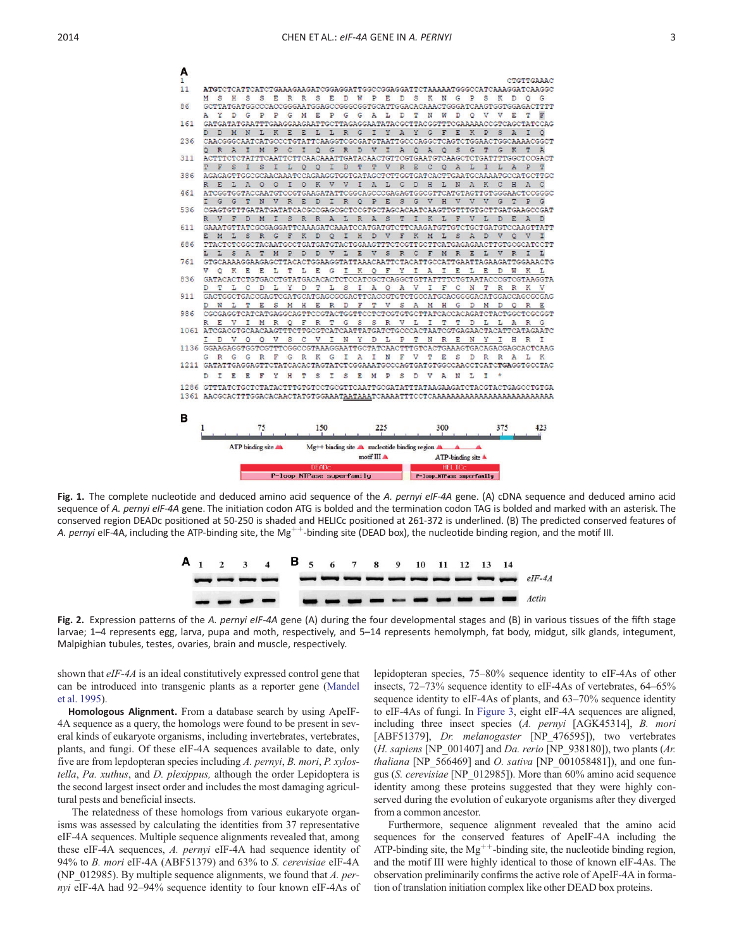

<span id="page-2-0"></span>

Fig. 1. The complete nucleotide and deduced amino acid sequence of the A. pernyi eIF-4A gene. (A) cDNA sequence and deduced amino acid sequence of A. pernyi eIF-4A gene. The initiation codon ATG is bolded and the termination codon TAG is bolded and marked with an asterisk. The conserved region DEADc positioned at 50-250 is shaded and HELICc positioned at 261-372 is underlined. (B) The predicted conserved features of A. pernyi eIF-4A, including the ATP-binding site, the Mg<sup>++</sup>-binding site (DEAD box), the nucleotide binding region, and the motif III.



Fig. 2. Expression patterns of the A. pernyi eIF-4A gene (A) during the four developmental stages and (B) in various tissues of the fifth stage larvae; 1–4 represents egg, larva, pupa and moth, respectively, and 5–14 represents hemolymph, fat body, midgut, silk glands, integument, Malpighian tubules, testes, ovaries, brain and muscle, respectively.

shown that eIF-4A is an ideal constitutively expressed control gene that can be introduced into transgenic plants as a reporter gene ([Mandel](#page-4-0) [et al. 1995\)](#page-4-0).

Homologous Alignment. From a database search by using ApeIF-4A sequence as a query, the homologs were found to be present in several kinds of eukaryote organisms, including invertebrates, vertebrates, plants, and fungi. Of these eIF-4A sequences available to date, only five are from lepdopteran species including A. pernyi, B. mori, P. xylostella, Pa. xuthus, and D. plexippus, although the order Lepidoptera is the second largest insect order and includes the most damaging agricultural pests and beneficial insects.

The relatedness of these homologs from various eukaryote organisms was assessed by calculating the identities from 37 representative eIF-4A sequences. Multiple sequence alignments revealed that, among these eIF-4A sequences, A. pernyi eIF-4A had sequence identity of 94% to B. mori eIF-4A (ABF51379) and 63% to S. cerevisiae eIF-4A (NP\_012985). By multiple sequence alignments, we found that A. pernyi eIF-4A had 92–94% sequence identity to four known eIF-4As of lepidopteran species, 75–80% sequence identity to eIF-4As of other insects, 72–73% sequence identity to eIF-4As of vertebrates, 64–65% sequence identity to eIF-4As of plants, and 63–70% sequence identity to eIF-4As of fungi. In [Figure 3,](#page-3-0) eight eIF-4A sequences are aligned, including three insect species (A. pernyi [AGK45314], B. mori [ABF51379], Dr. melanogaster [NP 476595]), two vertebrates (H. sapiens [NP\_001407] and Da. rerio [NP\_938180]), two plants (Ar. thaliana [NP\_566469] and O. sativa [NP\_001058481]), and one fungus (S. cerevisiae [NP\_012985]). More than 60% amino acid sequence identity among these proteins suggested that they were highly conserved during the evolution of eukaryote organisms after they diverged from a common ancestor.

Furthermore, sequence alignment revealed that the amino acid sequences for the conserved features of ApeIF-4A including the ATP-binding site, the  $Mg^{++}$ -binding site, the nucleotide binding region, and the motif III were highly identical to those of known eIF-4As. The observation preliminarily confirms the active role of ApeIF-4A in formation of translation initiation complex like other DEAD box proteins.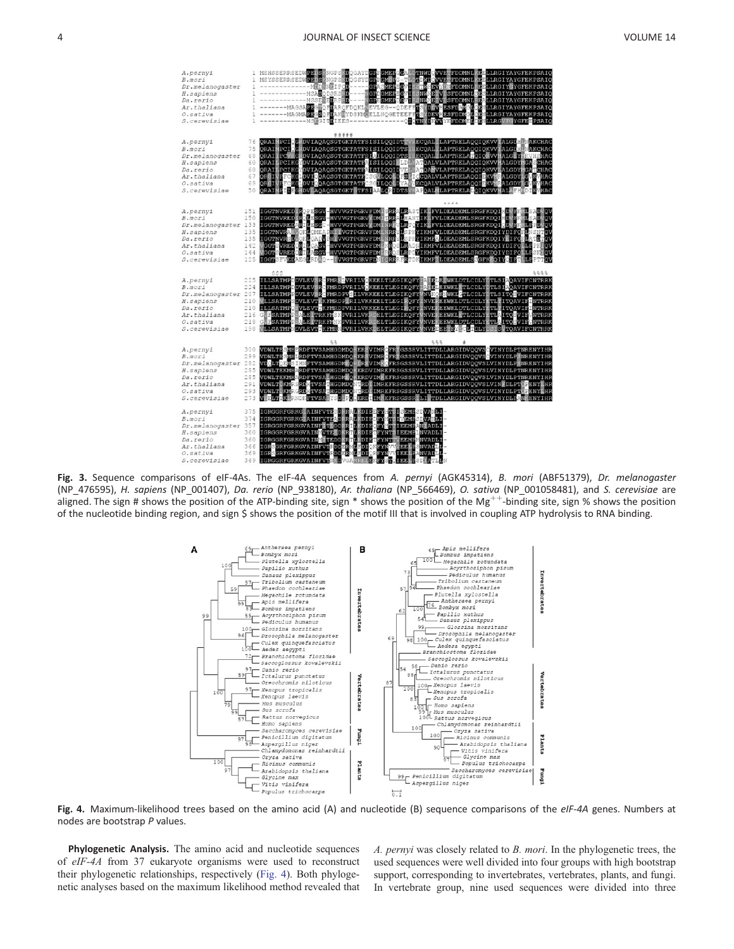<span id="page-3-0"></span>

Fig. 3. Sequence comparisons of eIF-4As. The eIF-4A sequences from A. pernyi (AGK45314), B. mori (ABF51379), Dr. melanogaster (NP\_476595), H. sapiens (NP\_001407), Da. rerio (NP\_938180), Ar. thaliana (NP\_566469), O. sativa (NP\_001058481), and S. cerevisiae are aligned. The sign # shows the position of the ATP-binding site, sign  $*$  shows the position of the Mg<sup>++</sup>-binding site, sign % shows the position of the nucleotide binding region, and sign \$ shows the position of the motif III that is involved in coupling ATP hydrolysis to RNA binding.



Fig. 4. Maximum-likelihood trees based on the amino acid (A) and nucleotide (B) sequence comparisons of the eIF-4A genes. Numbers at nodes are bootstrap P values.

Phylogenetic Analysis. The amino acid and nucleotide sequences of eIF-4A from 37 eukaryote organisms were used to reconstruct their phylogenetic relationships, respectively (Fig. 4). Both phylogenetic analyses based on the maximum likelihood method revealed that

A. pernyi was closely related to B. mori. In the phylogenetic trees, the used sequences were well divided into four groups with high bootstrap support, corresponding to invertebrates, vertebrates, plants, and fungi. In vertebrate group, nine used sequences were divided into three